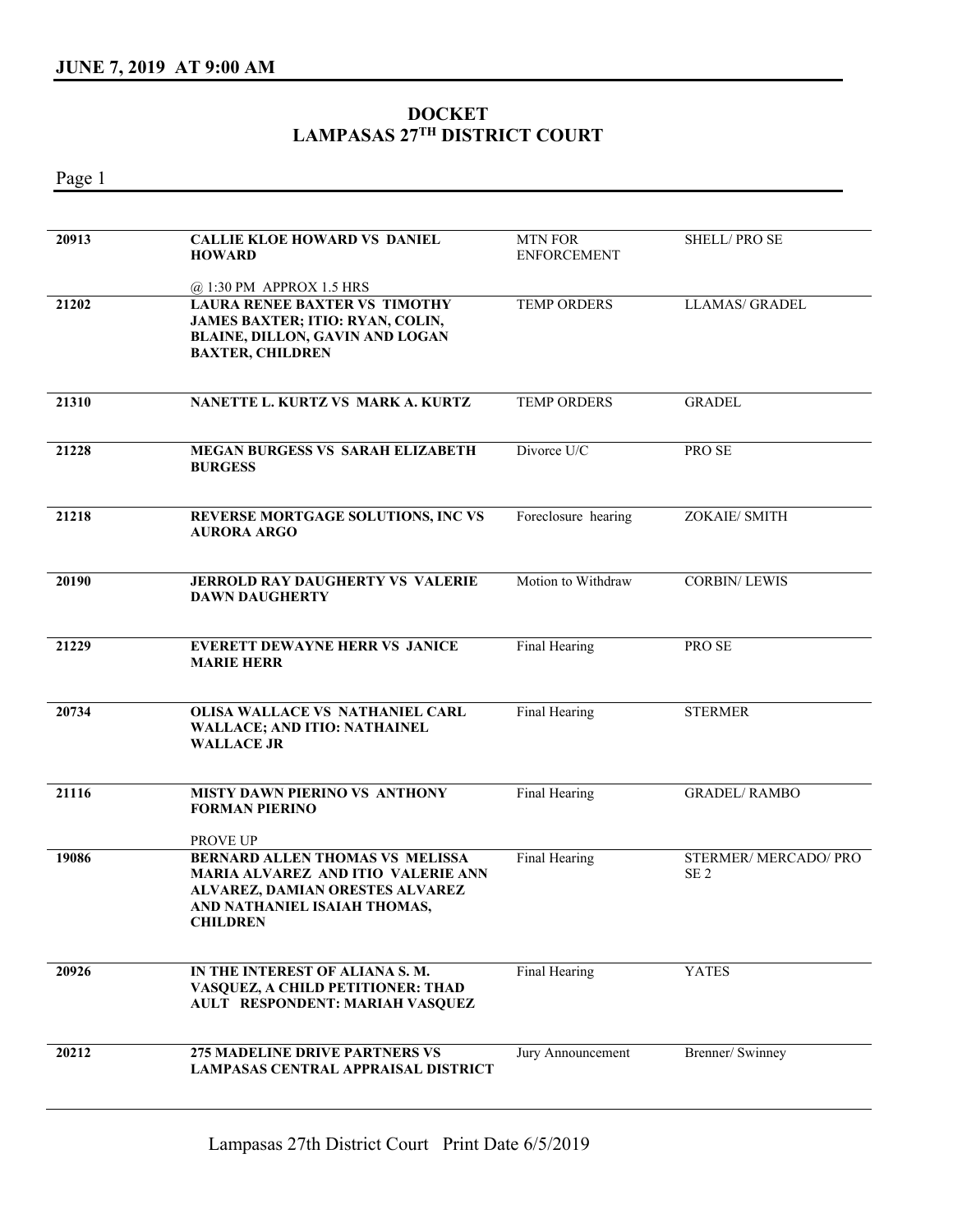## **DOCKET LAMPASAS 27TH DISTRICT COURT**

Page 1

| 20913 | <b>CALLIE KLOE HOWARD VS DANIEL</b><br><b>HOWARD</b>                                                                                                                             | <b>MTN FOR</b><br><b>ENFORCEMENT</b> | <b>SHELL/PROSE</b>                     |
|-------|----------------------------------------------------------------------------------------------------------------------------------------------------------------------------------|--------------------------------------|----------------------------------------|
| 21202 | @ 1:30 PM APPROX 1.5 HRS<br><b>LAURA RENEE BAXTER VS TIMOTHY</b><br>JAMES BAXTER; ITIO: RYAN, COLIN,<br>BLAINE, DILLON, GAVIN AND LOGAN<br><b>BAXTER, CHILDREN</b>               | <b>TEMP ORDERS</b>                   | LLAMAS/ GRADEL                         |
| 21310 | NANETTE L. KURTZ VS MARK A. KURTZ                                                                                                                                                | <b>TEMP ORDERS</b>                   | <b>GRADEL</b>                          |
| 21228 | <b>MEGAN BURGESS VS SARAH ELIZABETH</b><br><b>BURGESS</b>                                                                                                                        | Divorce U/C                          | PRO SE                                 |
| 21218 | <b>REVERSE MORTGAGE SOLUTIONS, INC VS</b><br><b>AURORA ARGO</b>                                                                                                                  | Foreclosure hearing                  | ZOKAIE/ SMITH                          |
| 20190 | <b>JERROLD RAY DAUGHERTY VS VALERIE</b><br><b>DAWN DAUGHERTY</b>                                                                                                                 | Motion to Withdraw                   | <b>CORBIN/LEWIS</b>                    |
| 21229 | <b>EVERETT DEWAYNE HERR VS JANICE</b><br><b>MARIE HERR</b>                                                                                                                       | Final Hearing                        | PRO SE                                 |
| 20734 | OLISA WALLACE VS NATHANIEL CARL<br>WALLACE; AND ITIO: NATHAINEL<br><b>WALLACE JR</b>                                                                                             | Final Hearing                        | <b>STERMER</b>                         |
| 21116 | MISTY DAWN PIERINO VS ANTHONY<br><b>FORMAN PIERINO</b><br>PROVE UP                                                                                                               | Final Hearing                        | <b>GRADEL/ RAMBO</b>                   |
| 19086 | <b>BERNARD ALLEN THOMAS VS MELISSA</b><br><b>MARIA ALVAREZ AND ITIO VALERIE ANN</b><br><b>ALVAREZ, DAMIAN ORESTES ALVAREZ</b><br>AND NATHANIEL ISAIAH THOMAS,<br><b>CHILDREN</b> | Final Hearing                        | STERMER/MERCADO/PRO<br>SE <sub>2</sub> |
| 20926 | IN THE INTEREST OF ALIANA S.M.<br>VASQUEZ, A CHILD PETITIONER: THAD<br>AULT RESPONDENT: MARIAH VASQUEZ                                                                           | Final Hearing                        | <b>YATES</b>                           |
| 20212 | 275 MADELINE DRIVE PARTNERS VS<br><b>LAMPASAS CENTRAL APPRAISAL DISTRICT</b>                                                                                                     | Jury Announcement                    | Brenner/ Swinney                       |